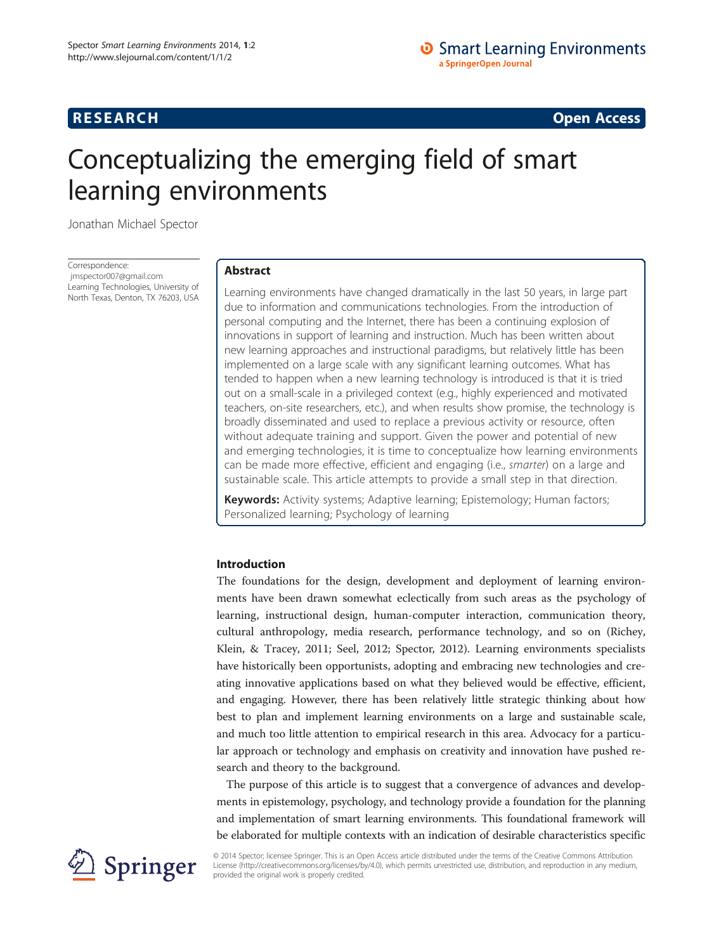# **RESEARCH RESEARCH CONSUMING ACCESS**

# Conceptualizing the emerging field of smart learning environments

Jonathan Michael Spector

Correspondence: [jmspector007@gmail.com](mailto:jmspector007@gmail.com) Learning Technologies, University of North Texas, Denton, TX 76203, USA

## Abstract

Learning environments have changed dramatically in the last 50 years, in large part due to information and communications technologies. From the introduction of personal computing and the Internet, there has been a continuing explosion of innovations in support of learning and instruction. Much has been written about new learning approaches and instructional paradigms, but relatively little has been implemented on a large scale with any significant learning outcomes. What has tended to happen when a new learning technology is introduced is that it is tried out on a small-scale in a privileged context (e.g., highly experienced and motivated teachers, on-site researchers, etc.), and when results show promise, the technology is broadly disseminated and used to replace a previous activity or resource, often without adequate training and support. Given the power and potential of new and emerging technologies, it is time to conceptualize how learning environments can be made more effective, efficient and engaging (i.e., smarter) on a large and sustainable scale. This article attempts to provide a small step in that direction.

Keywords: Activity systems; Adaptive learning; Epistemology; Human factors; Personalized learning; Psychology of learning

### Introduction

The foundations for the design, development and deployment of learning environments have been drawn somewhat eclectically from such areas as the psychology of learning, instructional design, human-computer interaction, communication theory, cultural anthropology, media research, performance technology, and so on (Richey, Klein, & Tracey, [2011](#page-8-0); Seel, [2012;](#page-8-0) Spector, [2012\)](#page-8-0). Learning environments specialists have historically been opportunists, adopting and embracing new technologies and creating innovative applications based on what they believed would be effective, efficient, and engaging. However, there has been relatively little strategic thinking about how best to plan and implement learning environments on a large and sustainable scale, and much too little attention to empirical research in this area. Advocacy for a particular approach or technology and emphasis on creativity and innovation have pushed research and theory to the background.

The purpose of this article is to suggest that a convergence of advances and developments in epistemology, psychology, and technology provide a foundation for the planning and implementation of smart learning environments. This foundational framework will be elaborated for multiple contexts with an indication of desirable characteristics specific



© 2014 Spector; licensee Springer. This is an Open Access article distributed under the terms of the Creative Commons Attribution License [\(http://creativecommons.org/licenses/by/4.0\)](http://creativecommons.org/licenses/by/4.0), which permits unrestricted use, distribution, and reproduction in any medium, provided the original work is properly credited.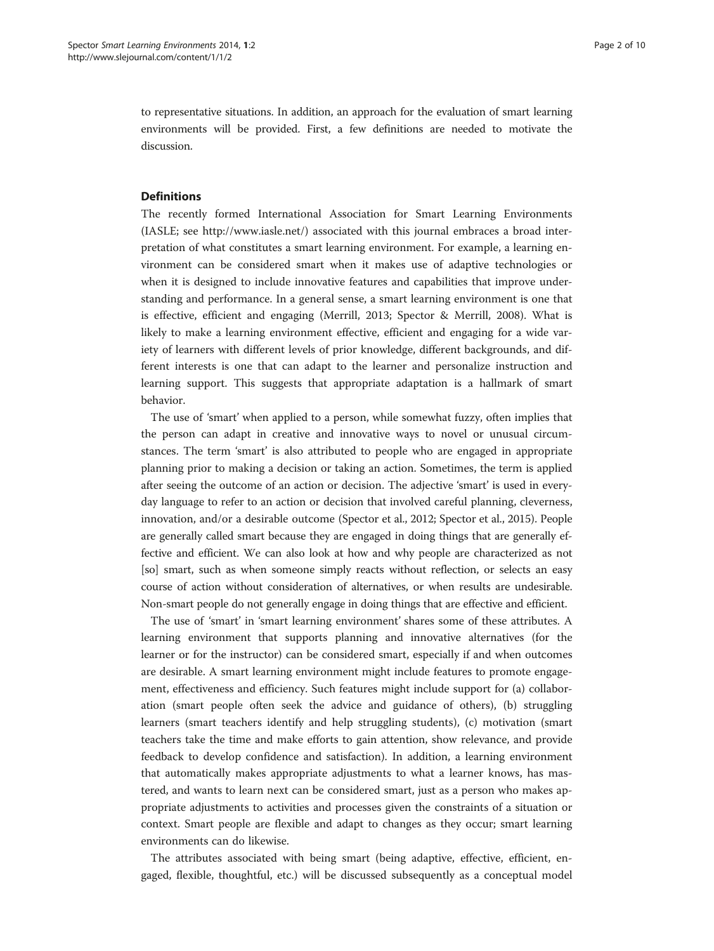to representative situations. In addition, an approach for the evaluation of smart learning environments will be provided. First, a few definitions are needed to motivate the discussion.

### **Definitions**

The recently formed International Association for Smart Learning Environments (IASLE; see<http://www.iasle.net/>) associated with this journal embraces a broad interpretation of what constitutes a smart learning environment. For example, a learning environment can be considered smart when it makes use of adaptive technologies or when it is designed to include innovative features and capabilities that improve understanding and performance. In a general sense, a smart learning environment is one that is effective, efficient and engaging (Merrill, [2013;](#page-8-0) Spector & Merrill, [2008\)](#page-8-0). What is likely to make a learning environment effective, efficient and engaging for a wide variety of learners with different levels of prior knowledge, different backgrounds, and different interests is one that can adapt to the learner and personalize instruction and learning support. This suggests that appropriate adaptation is a hallmark of smart behavior.

The use of 'smart' when applied to a person, while somewhat fuzzy, often implies that the person can adapt in creative and innovative ways to novel or unusual circumstances. The term 'smart' is also attributed to people who are engaged in appropriate planning prior to making a decision or taking an action. Sometimes, the term is applied after seeing the outcome of an action or decision. The adjective 'smart' is used in everyday language to refer to an action or decision that involved careful planning, cleverness, innovation, and/or a desirable outcome (Spector et al., [2012;](#page-8-0) Spector et al., [2015\)](#page-8-0). People are generally called smart because they are engaged in doing things that are generally effective and efficient. We can also look at how and why people are characterized as not [so] smart, such as when someone simply reacts without reflection, or selects an easy course of action without consideration of alternatives, or when results are undesirable. Non-smart people do not generally engage in doing things that are effective and efficient.

The use of 'smart' in 'smart learning environment' shares some of these attributes. A learning environment that supports planning and innovative alternatives (for the learner or for the instructor) can be considered smart, especially if and when outcomes are desirable. A smart learning environment might include features to promote engagement, effectiveness and efficiency. Such features might include support for (a) collaboration (smart people often seek the advice and guidance of others), (b) struggling learners (smart teachers identify and help struggling students), (c) motivation (smart teachers take the time and make efforts to gain attention, show relevance, and provide feedback to develop confidence and satisfaction). In addition, a learning environment that automatically makes appropriate adjustments to what a learner knows, has mastered, and wants to learn next can be considered smart, just as a person who makes appropriate adjustments to activities and processes given the constraints of a situation or context. Smart people are flexible and adapt to changes as they occur; smart learning environments can do likewise.

The attributes associated with being smart (being adaptive, effective, efficient, engaged, flexible, thoughtful, etc.) will be discussed subsequently as a conceptual model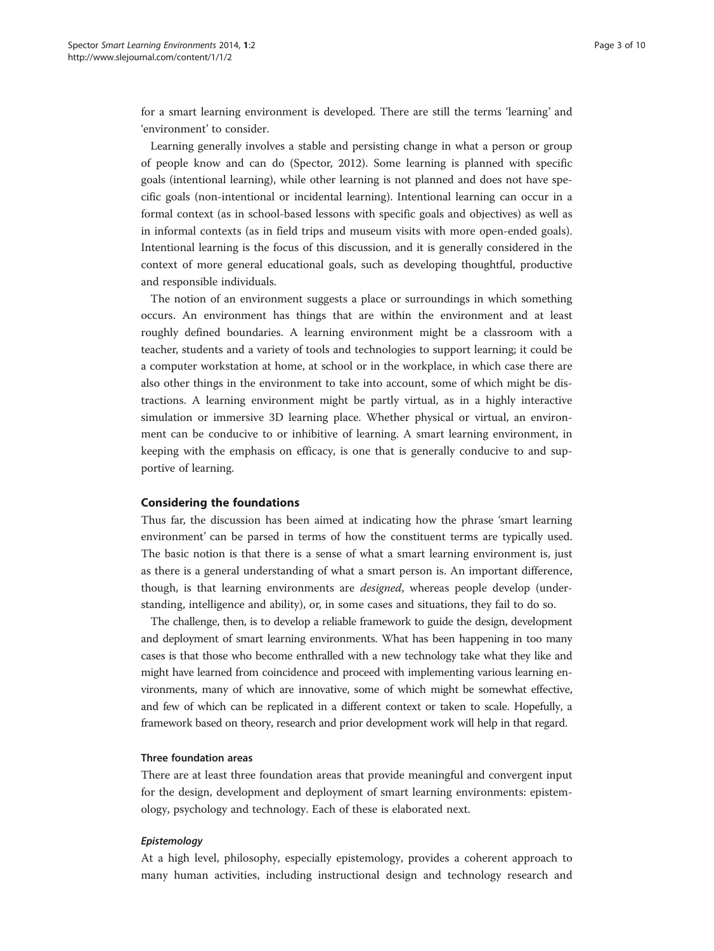for a smart learning environment is developed. There are still the terms 'learning' and 'environment' to consider.

Learning generally involves a stable and persisting change in what a person or group of people know and can do (Spector, [2012\)](#page-8-0). Some learning is planned with specific goals (intentional learning), while other learning is not planned and does not have specific goals (non-intentional or incidental learning). Intentional learning can occur in a formal context (as in school-based lessons with specific goals and objectives) as well as in informal contexts (as in field trips and museum visits with more open-ended goals). Intentional learning is the focus of this discussion, and it is generally considered in the context of more general educational goals, such as developing thoughtful, productive and responsible individuals.

The notion of an environment suggests a place or surroundings in which something occurs. An environment has things that are within the environment and at least roughly defined boundaries. A learning environment might be a classroom with a teacher, students and a variety of tools and technologies to support learning; it could be a computer workstation at home, at school or in the workplace, in which case there are also other things in the environment to take into account, some of which might be distractions. A learning environment might be partly virtual, as in a highly interactive simulation or immersive 3D learning place. Whether physical or virtual, an environment can be conducive to or inhibitive of learning. A smart learning environment, in keeping with the emphasis on efficacy, is one that is generally conducive to and supportive of learning.

### Considering the foundations

Thus far, the discussion has been aimed at indicating how the phrase 'smart learning environment' can be parsed in terms of how the constituent terms are typically used. The basic notion is that there is a sense of what a smart learning environment is, just as there is a general understanding of what a smart person is. An important difference, though, is that learning environments are designed, whereas people develop (understanding, intelligence and ability), or, in some cases and situations, they fail to do so.

The challenge, then, is to develop a reliable framework to guide the design, development and deployment of smart learning environments. What has been happening in too many cases is that those who become enthralled with a new technology take what they like and might have learned from coincidence and proceed with implementing various learning environments, many of which are innovative, some of which might be somewhat effective, and few of which can be replicated in a different context or taken to scale. Hopefully, a framework based on theory, research and prior development work will help in that regard.

### Three foundation areas

There are at least three foundation areas that provide meaningful and convergent input for the design, development and deployment of smart learning environments: epistemology, psychology and technology. Each of these is elaborated next.

Epistemology At a high level, philosophy, especially epistemology, provides a coherent approach to many human activities, including instructional design and technology research and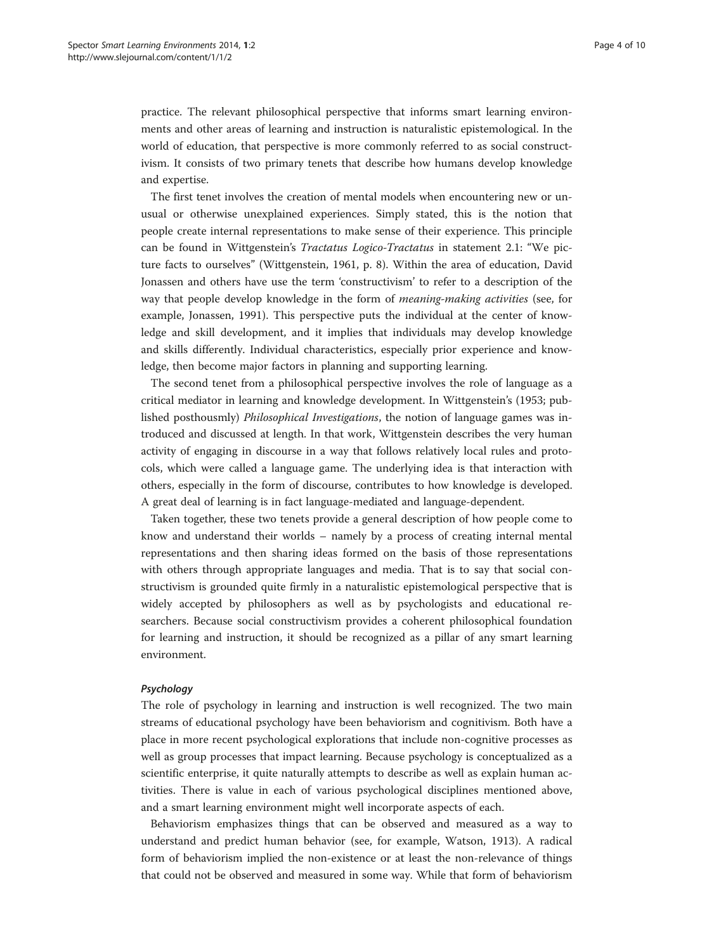practice. The relevant philosophical perspective that informs smart learning environments and other areas of learning and instruction is naturalistic epistemological. In the world of education, that perspective is more commonly referred to as social constructivism. It consists of two primary tenets that describe how humans develop knowledge and expertise.

The first tenet involves the creation of mental models when encountering new or unusual or otherwise unexplained experiences. Simply stated, this is the notion that people create internal representations to make sense of their experience. This principle can be found in Wittgenstein's Tractatus Logico-Tractatus in statement 2.1: "We picture facts to ourselves" (Wittgenstein, [1961](#page-9-0), p. 8). Within the area of education, David Jonassen and others have use the term 'constructivism' to refer to a description of the way that people develop knowledge in the form of meaning-making activities (see, for example, Jonassen, [1991\)](#page-8-0). This perspective puts the individual at the center of knowledge and skill development, and it implies that individuals may develop knowledge and skills differently. Individual characteristics, especially prior experience and knowledge, then become major factors in planning and supporting learning.

The second tenet from a philosophical perspective involves the role of language as a critical mediator in learning and knowledge development. In Wittgenstein's ([1953](#page-9-0); published posthousmly) Philosophical Investigations, the notion of language games was introduced and discussed at length. In that work, Wittgenstein describes the very human activity of engaging in discourse in a way that follows relatively local rules and protocols, which were called a language game. The underlying idea is that interaction with others, especially in the form of discourse, contributes to how knowledge is developed. A great deal of learning is in fact language-mediated and language-dependent.

Taken together, these two tenets provide a general description of how people come to know and understand their worlds – namely by a process of creating internal mental representations and then sharing ideas formed on the basis of those representations with others through appropriate languages and media. That is to say that social constructivism is grounded quite firmly in a naturalistic epistemological perspective that is widely accepted by philosophers as well as by psychologists and educational researchers. Because social constructivism provides a coherent philosophical foundation for learning and instruction, it should be recognized as a pillar of any smart learning environment.

The role of psychology in learning and instruction is well recognized. The two main streams of educational psychology have been behaviorism and cognitivism. Both have a place in more recent psychological explorations that include non-cognitive processes as well as group processes that impact learning. Because psychology is conceptualized as a scientific enterprise, it quite naturally attempts to describe as well as explain human activities. There is value in each of various psychological disciplines mentioned above, and a smart learning environment might well incorporate aspects of each.

Behaviorism emphasizes things that can be observed and measured as a way to understand and predict human behavior (see, for example, Watson, [1913](#page-9-0)). A radical form of behaviorism implied the non-existence or at least the non-relevance of things that could not be observed and measured in some way. While that form of behaviorism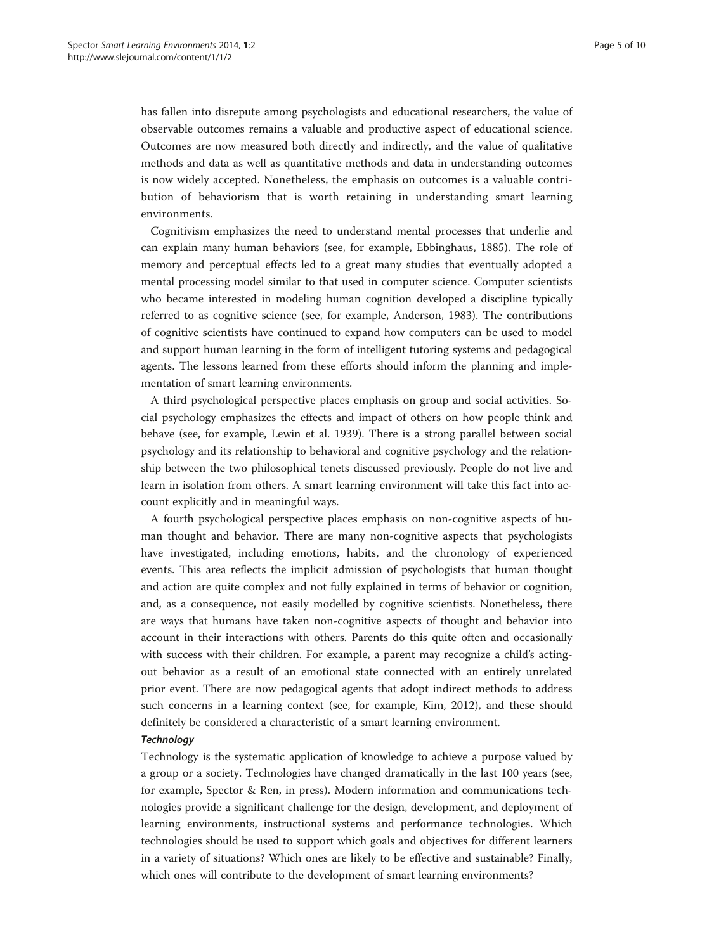has fallen into disrepute among psychologists and educational researchers, the value of observable outcomes remains a valuable and productive aspect of educational science. Outcomes are now measured both directly and indirectly, and the value of qualitative methods and data as well as quantitative methods and data in understanding outcomes is now widely accepted. Nonetheless, the emphasis on outcomes is a valuable contribution of behaviorism that is worth retaining in understanding smart learning environments.

Cognitivism emphasizes the need to understand mental processes that underlie and can explain many human behaviors (see, for example, Ebbinghaus, [1885\)](#page-8-0). The role of memory and perceptual effects led to a great many studies that eventually adopted a mental processing model similar to that used in computer science. Computer scientists who became interested in modeling human cognition developed a discipline typically referred to as cognitive science (see, for example, Anderson, [1983\)](#page-8-0). The contributions of cognitive scientists have continued to expand how computers can be used to model and support human learning in the form of intelligent tutoring systems and pedagogical agents. The lessons learned from these efforts should inform the planning and implementation of smart learning environments.

A third psychological perspective places emphasis on group and social activities. Social psychology emphasizes the effects and impact of others on how people think and behave (see, for example, Lewin et al. [1939\)](#page-8-0). There is a strong parallel between social psychology and its relationship to behavioral and cognitive psychology and the relationship between the two philosophical tenets discussed previously. People do not live and learn in isolation from others. A smart learning environment will take this fact into account explicitly and in meaningful ways.

A fourth psychological perspective places emphasis on non-cognitive aspects of human thought and behavior. There are many non-cognitive aspects that psychologists have investigated, including emotions, habits, and the chronology of experienced events. This area reflects the implicit admission of psychologists that human thought and action are quite complex and not fully explained in terms of behavior or cognition, and, as a consequence, not easily modelled by cognitive scientists. Nonetheless, there are ways that humans have taken non-cognitive aspects of thought and behavior into account in their interactions with others. Parents do this quite often and occasionally with success with their children. For example, a parent may recognize a child's actingout behavior as a result of an emotional state connected with an entirely unrelated prior event. There are now pedagogical agents that adopt indirect methods to address such concerns in a learning context (see, for example, Kim, [2012](#page-8-0)), and these should definitely be considered a characteristic of a smart learning environment.

Technology Technology is the systematic application of knowledge to achieve a purpose valued by a group or a society. Technologies have changed dramatically in the last 100 years (see, for example, Spector & Ren, [in press](#page-9-0)). Modern information and communications technologies provide a significant challenge for the design, development, and deployment of learning environments, instructional systems and performance technologies. Which technologies should be used to support which goals and objectives for different learners in a variety of situations? Which ones are likely to be effective and sustainable? Finally, which ones will contribute to the development of smart learning environments?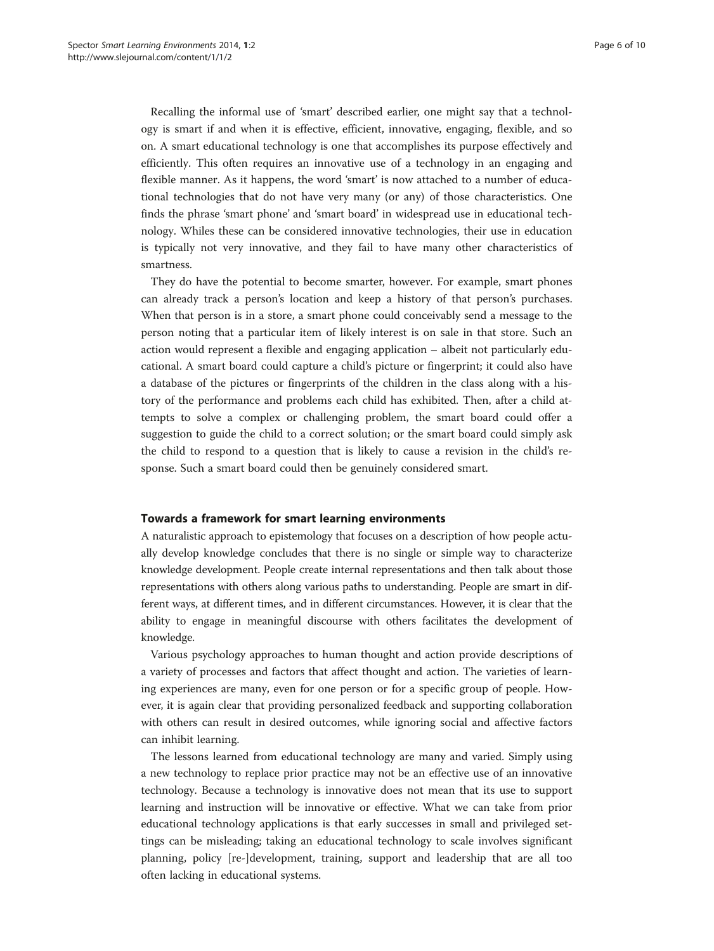Recalling the informal use of 'smart' described earlier, one might say that a technology is smart if and when it is effective, efficient, innovative, engaging, flexible, and so on. A smart educational technology is one that accomplishes its purpose effectively and efficiently. This often requires an innovative use of a technology in an engaging and flexible manner. As it happens, the word 'smart' is now attached to a number of educational technologies that do not have very many (or any) of those characteristics. One finds the phrase 'smart phone' and 'smart board' in widespread use in educational technology. Whiles these can be considered innovative technologies, their use in education is typically not very innovative, and they fail to have many other characteristics of smartness.

They do have the potential to become smarter, however. For example, smart phones can already track a person's location and keep a history of that person's purchases. When that person is in a store, a smart phone could conceivably send a message to the person noting that a particular item of likely interest is on sale in that store. Such an action would represent a flexible and engaging application – albeit not particularly educational. A smart board could capture a child's picture or fingerprint; it could also have a database of the pictures or fingerprints of the children in the class along with a history of the performance and problems each child has exhibited. Then, after a child attempts to solve a complex or challenging problem, the smart board could offer a suggestion to guide the child to a correct solution; or the smart board could simply ask the child to respond to a question that is likely to cause a revision in the child's response. Such a smart board could then be genuinely considered smart.

### Towards a framework for smart learning environments

A naturalistic approach to epistemology that focuses on a description of how people actually develop knowledge concludes that there is no single or simple way to characterize knowledge development. People create internal representations and then talk about those representations with others along various paths to understanding. People are smart in different ways, at different times, and in different circumstances. However, it is clear that the ability to engage in meaningful discourse with others facilitates the development of knowledge.

Various psychology approaches to human thought and action provide descriptions of a variety of processes and factors that affect thought and action. The varieties of learning experiences are many, even for one person or for a specific group of people. However, it is again clear that providing personalized feedback and supporting collaboration with others can result in desired outcomes, while ignoring social and affective factors can inhibit learning.

The lessons learned from educational technology are many and varied. Simply using a new technology to replace prior practice may not be an effective use of an innovative technology. Because a technology is innovative does not mean that its use to support learning and instruction will be innovative or effective. What we can take from prior educational technology applications is that early successes in small and privileged settings can be misleading; taking an educational technology to scale involves significant planning, policy [re-]development, training, support and leadership that are all too often lacking in educational systems.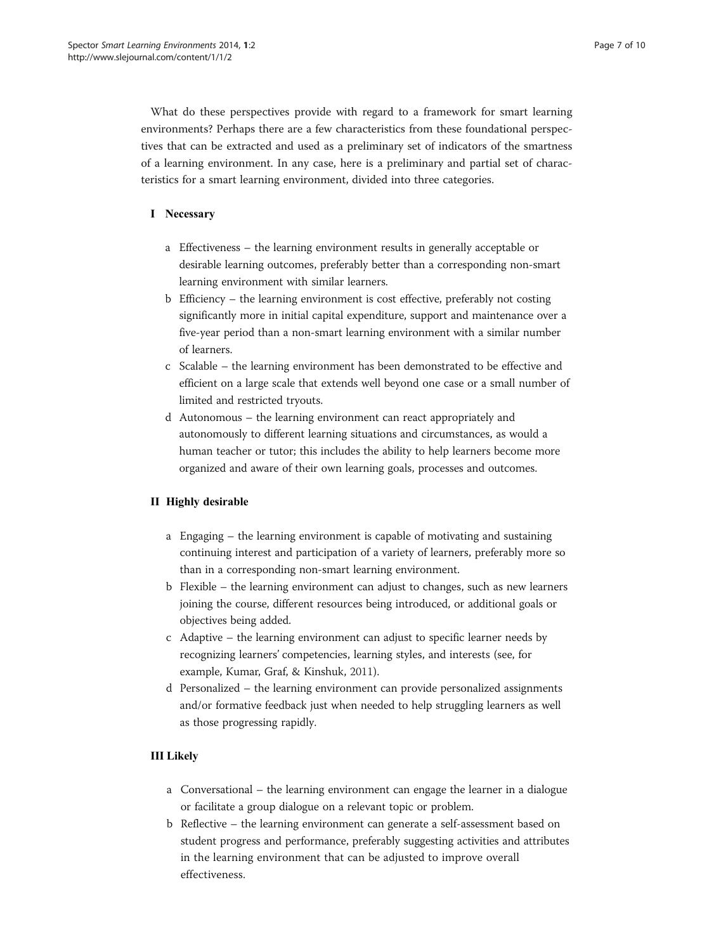What do these perspectives provide with regard to a framework for smart learning environments? Perhaps there are a few characteristics from these foundational perspectives that can be extracted and used as a preliminary set of indicators of the smartness of a learning environment. In any case, here is a preliminary and partial set of characteristics for a smart learning environment, divided into three categories.

# I Necessary

- a Effectiveness the learning environment results in generally acceptable or desirable learning outcomes, preferably better than a corresponding non-smart learning environment with similar learners.
- b Efficiency the learning environment is cost effective, preferably not costing significantly more in initial capital expenditure, support and maintenance over a five-year period than a non-smart learning environment with a similar number of learners.
- c Scalable the learning environment has been demonstrated to be effective and efficient on a large scale that extends well beyond one case or a small number of limited and restricted tryouts.
- d Autonomous the learning environment can react appropriately and autonomously to different learning situations and circumstances, as would a human teacher or tutor; this includes the ability to help learners become more organized and aware of their own learning goals, processes and outcomes.

# II Highly desirable

- a Engaging the learning environment is capable of motivating and sustaining continuing interest and participation of a variety of learners, preferably more so than in a corresponding non-smart learning environment.
- b Flexible the learning environment can adjust to changes, such as new learners joining the course, different resources being introduced, or additional goals or objectives being added.
- c Adaptive the learning environment can adjust to specific learner needs by recognizing learners' competencies, learning styles, and interests (see, for example, Kumar, Graf, & Kinshuk, [2011](#page-8-0)).
- d Personalized the learning environment can provide personalized assignments and/or formative feedback just when needed to help struggling learners as well as those progressing rapidly.

### III Likely

- a Conversational the learning environment can engage the learner in a dialogue or facilitate a group dialogue on a relevant topic or problem.
- b Reflective the learning environment can generate a self-assessment based on student progress and performance, preferably suggesting activities and attributes in the learning environment that can be adjusted to improve overall effectiveness.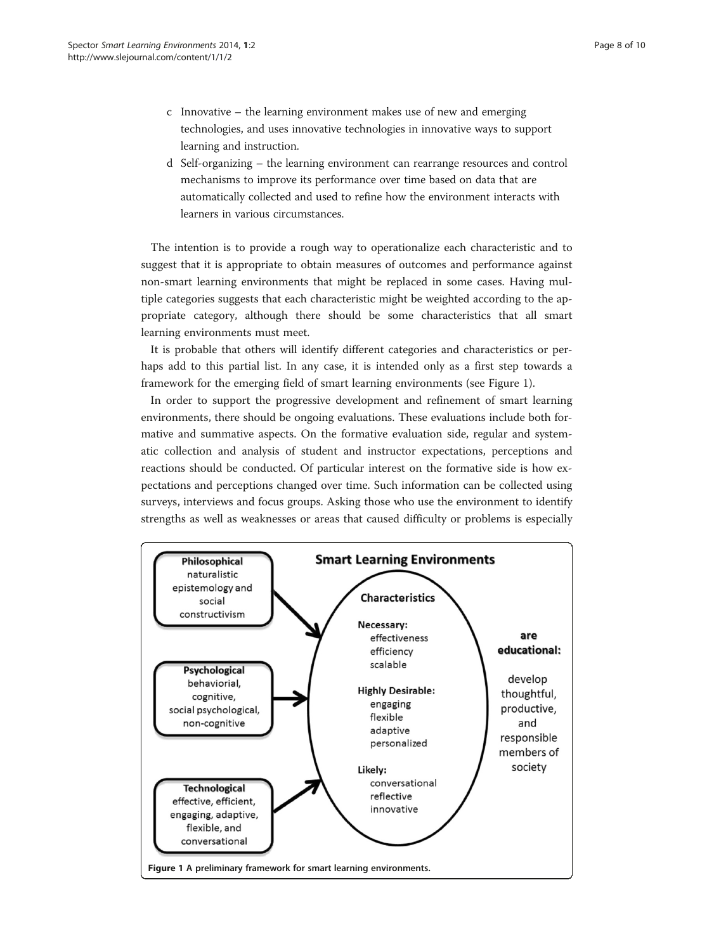- c Innovative the learning environment makes use of new and emerging technologies, and uses innovative technologies in innovative ways to support learning and instruction.
- d Self-organizing the learning environment can rearrange resources and control mechanisms to improve its performance over time based on data that are automatically collected and used to refine how the environment interacts with learners in various circumstances.

The intention is to provide a rough way to operationalize each characteristic and to suggest that it is appropriate to obtain measures of outcomes and performance against non-smart learning environments that might be replaced in some cases. Having multiple categories suggests that each characteristic might be weighted according to the appropriate category, although there should be some characteristics that all smart learning environments must meet.

It is probable that others will identify different categories and characteristics or perhaps add to this partial list. In any case, it is intended only as a first step towards a framework for the emerging field of smart learning environments (see Figure 1).

In order to support the progressive development and refinement of smart learning environments, there should be ongoing evaluations. These evaluations include both formative and summative aspects. On the formative evaluation side, regular and systematic collection and analysis of student and instructor expectations, perceptions and reactions should be conducted. Of particular interest on the formative side is how expectations and perceptions changed over time. Such information can be collected using surveys, interviews and focus groups. Asking those who use the environment to identify strengths as well as weaknesses or areas that caused difficulty or problems is especially

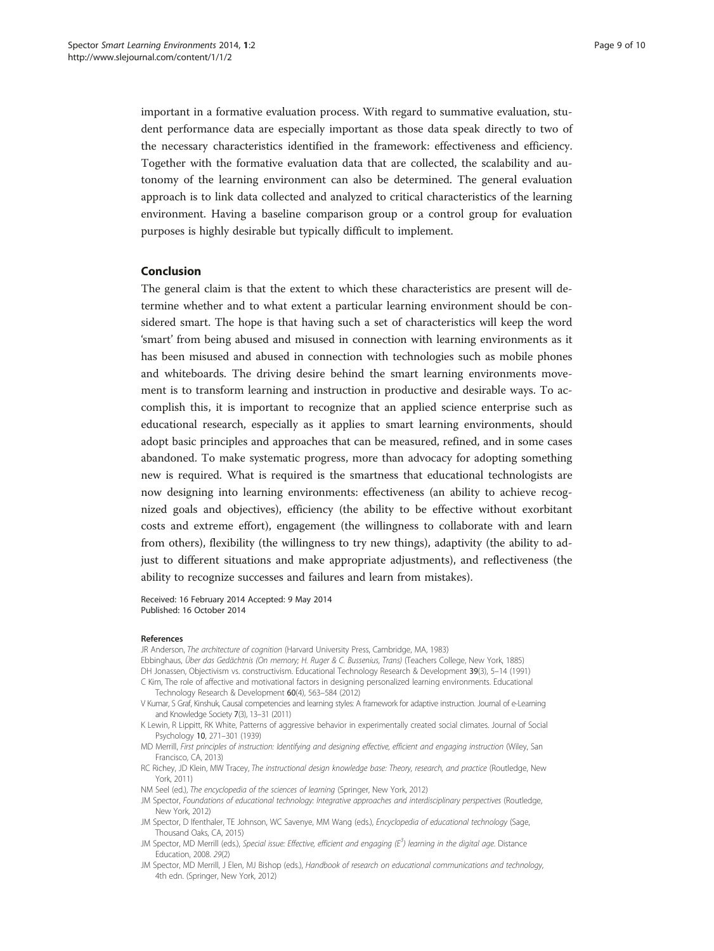<span id="page-8-0"></span>important in a formative evaluation process. With regard to summative evaluation, student performance data are especially important as those data speak directly to two of the necessary characteristics identified in the framework: effectiveness and efficiency. Together with the formative evaluation data that are collected, the scalability and autonomy of the learning environment can also be determined. The general evaluation approach is to link data collected and analyzed to critical characteristics of the learning environment. Having a baseline comparison group or a control group for evaluation purposes is highly desirable but typically difficult to implement.

## Conclusion

The general claim is that the extent to which these characteristics are present will determine whether and to what extent a particular learning environment should be considered smart. The hope is that having such a set of characteristics will keep the word 'smart' from being abused and misused in connection with learning environments as it has been misused and abused in connection with technologies such as mobile phones and whiteboards. The driving desire behind the smart learning environments movement is to transform learning and instruction in productive and desirable ways. To accomplish this, it is important to recognize that an applied science enterprise such as educational research, especially as it applies to smart learning environments, should adopt basic principles and approaches that can be measured, refined, and in some cases abandoned. To make systematic progress, more than advocacy for adopting something new is required. What is required is the smartness that educational technologists are now designing into learning environments: effectiveness (an ability to achieve recognized goals and objectives), efficiency (the ability to be effective without exorbitant costs and extreme effort), engagement (the willingness to collaborate with and learn from others), flexibility (the willingness to try new things), adaptivity (the ability to adjust to different situations and make appropriate adjustments), and reflectiveness (the ability to recognize successes and failures and learn from mistakes).

Received: 16 February 2014 Accepted: 9 May 2014 Published: 16 October 2014

### References

JR Anderson, The architecture of cognition (Harvard University Press, Cambridge, MA, 1983)

Ebbinghaus, Über das Gedächtnis (On memory; H. Ruger & C. Bussenius, Trans) (Teachers College, New York, 1885) DH Jonassen, Objectivism vs. constructivism. Educational Technology Research & Development 39(3), 5–14 (1991)

C Kim, The role of affective and motivational factors in designing personalized learning environments. Educational Technology Research & Development 60(4), 563–584 (2012)

- V Kumar, S Graf, Kinshuk, Causal competencies and learning styles: A framework for adaptive instruction. Journal of e-Learning and Knowledge Society 7(3), 13–31 (2011)
- K Lewin, R Lippitt, RK White, Patterns of aggressive behavior in experimentally created social climates. Journal of Social Psychology 10, 271–301 (1939)

NM Seel (ed.), The encyclopedia of the sciences of learning (Springer, New York, 2012)

- JM Spector, D Ifenthaler, TE Johnson, WC Savenye, MM Wang (eds.), Encyclopedia of educational technology (Sage, Thousand Oaks, CA, 2015)
- JM Spector, MD Merrill (eds.), Special issue: Effective, efficient and engaging (E<sup>3</sup>) learning in the digital age. Distance Education, 2008. 29(2)
- JM Spector, MD Merrill, J Elen, MJ Bishop (eds.), Handbook of research on educational communications and technology, 4th edn. (Springer, New York, 2012)

MD Merrill, First principles of instruction: Identifying and designing effective, efficient and engaging instruction (Wiley, San Francisco, CA, 2013)

RC Richey, JD Klein, MW Tracey, The instructional design knowledge base: Theory, research, and practice (Routledge, New York, 2011)

JM Spector, Foundations of educational technology: Integrative approaches and interdisciplinary perspectives (Routledge, New York, 2012)